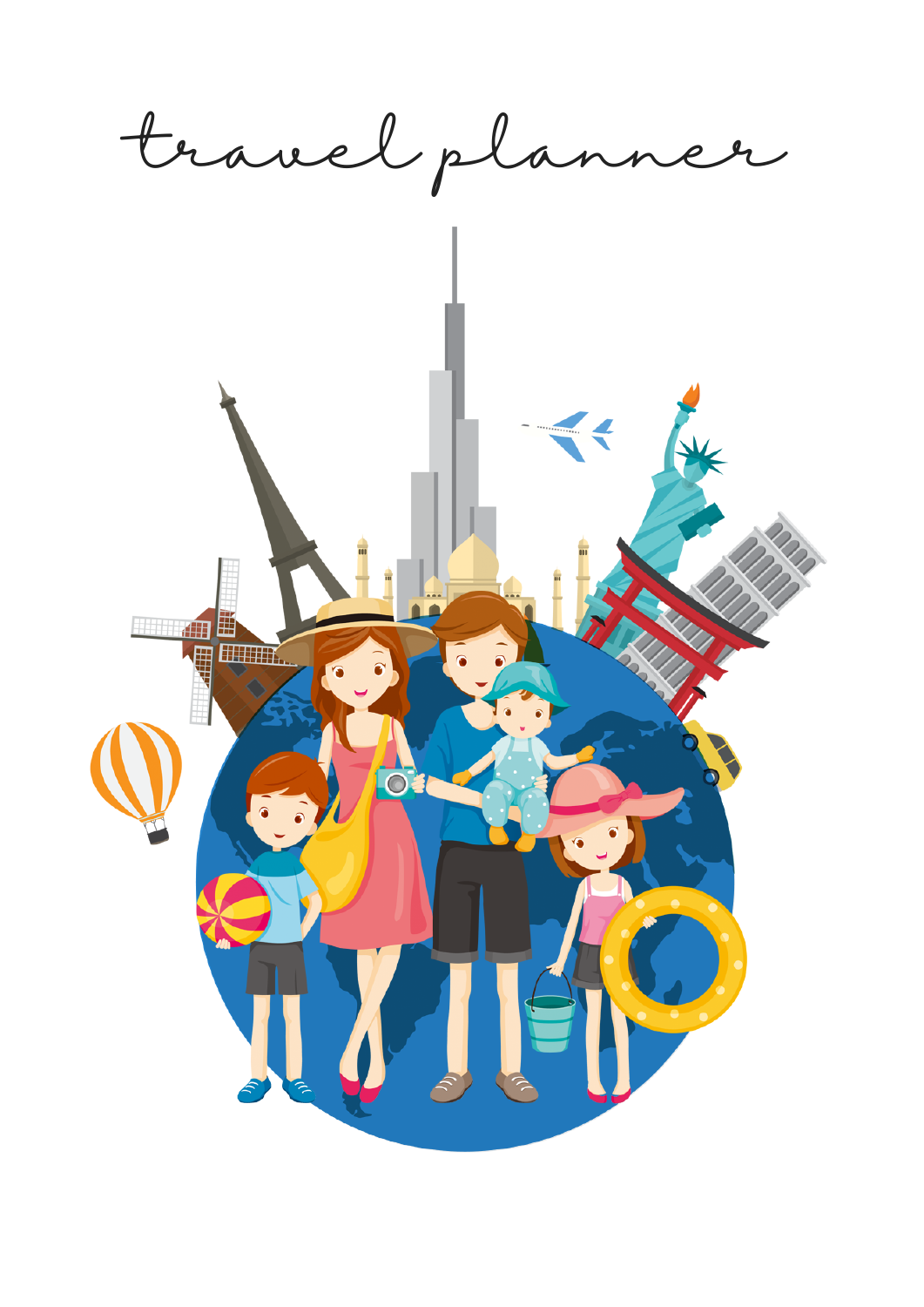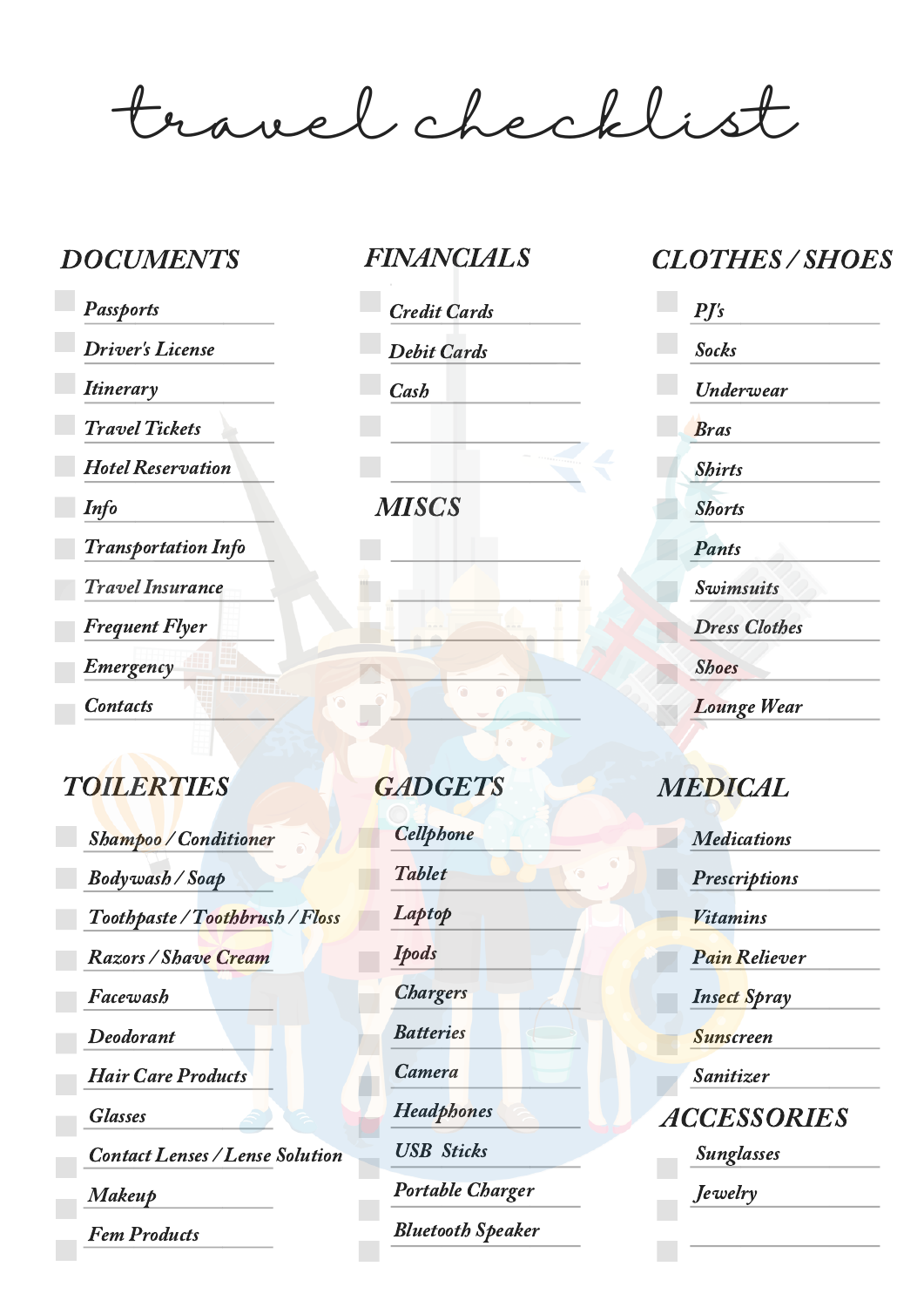travel checklist

**Passports** Driver's License **Itinerary** Travel Tickets Hotel Reservation Info Transportation Info Travel Insurance Frequent Flyer Emergency **Contacts** 

## TOILERTIES GADGETS MEDICAL

Shampoo / Conditioner Bodywash / Soap Toothpaste / Toothbrush / Floss Razors / Shave Cream Facewash Deodorant Hair Care Products Glasses Contact Lenses / Lense Solution Makeup Fem Products

Credit Cards Debit Cards **Cash** 

**MISCS** 

**Cellphone** Tablet Laptop Ipods **Chargers Batteries** Camera **Headphones** USB Sticks Portable Charger Bluetooth Speaker

### DOCUMENTS FINANCIALS CLOTHES / SHOES

| $P\!J\!s$            |  |
|----------------------|--|
| <b>Socks</b>         |  |
| Underwear            |  |
| <b>Bras</b>          |  |
| <b>Shirts</b>        |  |
| <b>Shorts</b>        |  |
| <b>Pants</b>         |  |
| Swimsuits            |  |
| <b>Dress Clothes</b> |  |
| <b>Shoes</b>         |  |
| <b>Lounge Wear</b>   |  |

**Medications Prescriptions** Vitamins Pain Reliever Insect Spray Sunscreen Sanitizer ACCESSORIES Sunglasses *Jewelry*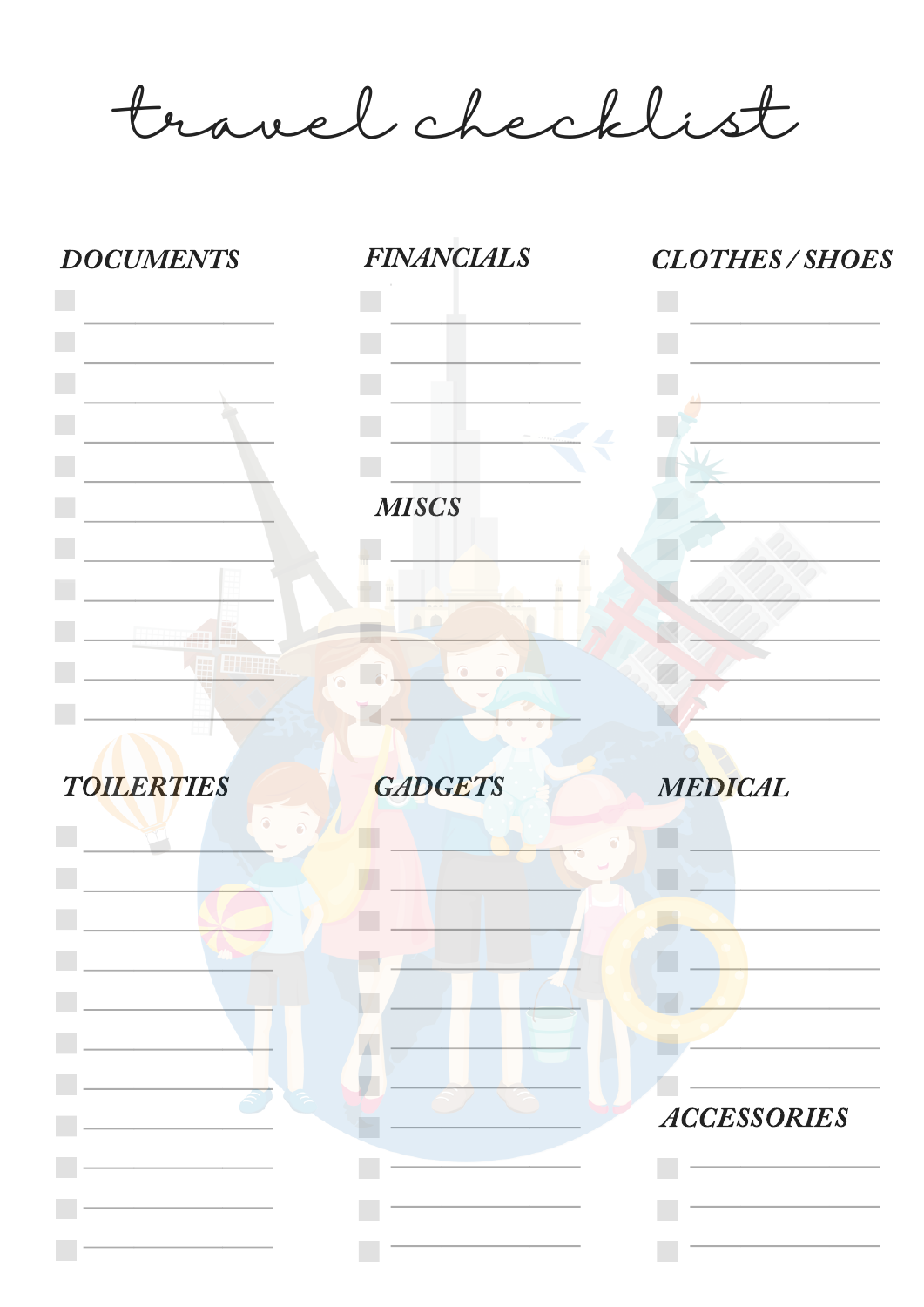travel checklist

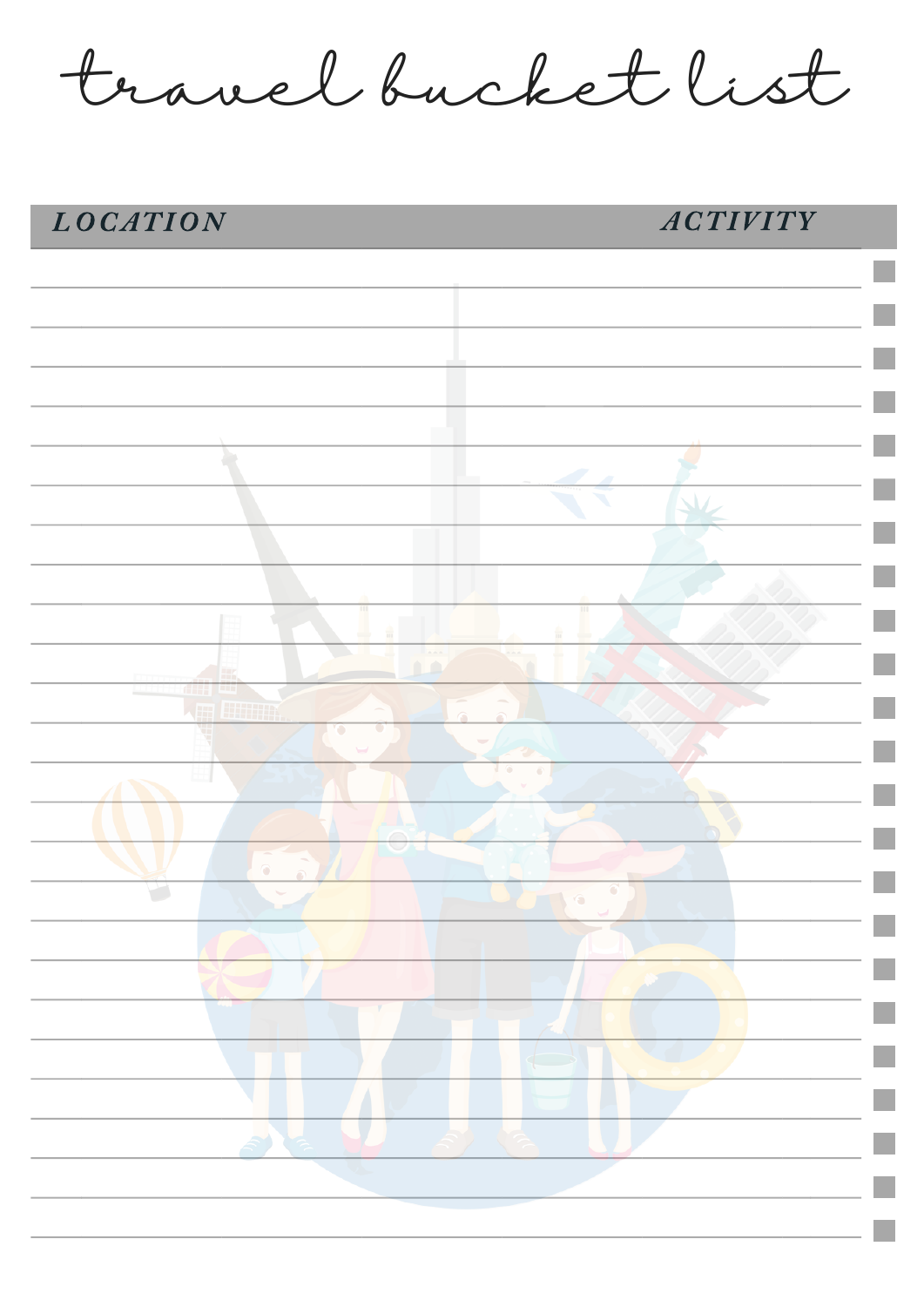travel bucket list

# LOCATION ACTIVITY

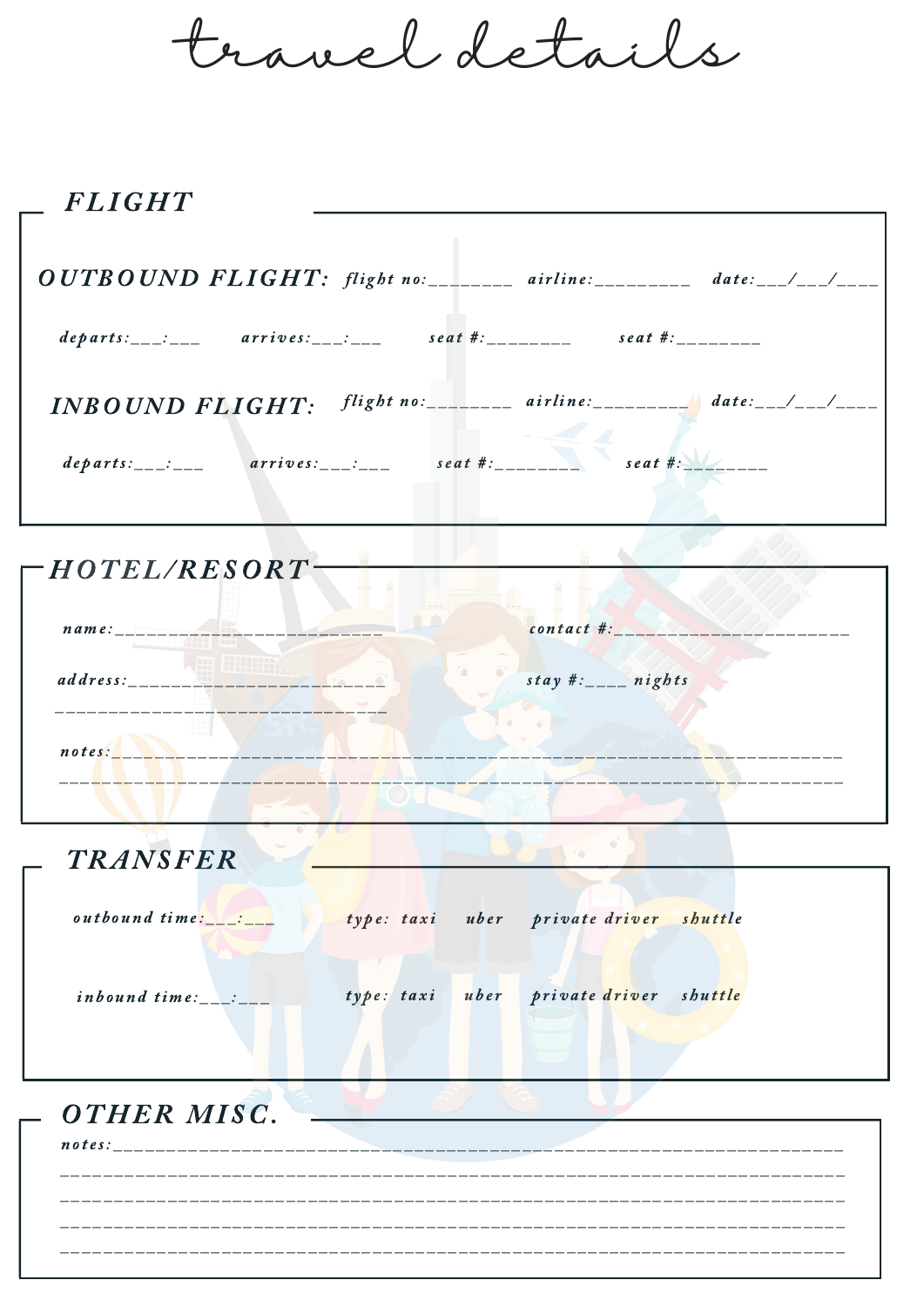travel details

| <b>FLIGHT</b>                                                                                                                                                                                                                                      |                   |
|----------------------------------------------------------------------------------------------------------------------------------------------------------------------------------------------------------------------------------------------------|-------------------|
| $OUTBOUND$ $FLIGHT:$ $flight$ $no:$ $100$ $airline:$ $100$ $date:$ $100$ $T2$ $T2$ $T3$ $T4$ $T5$ $T5$ $T6$ $T7$ $T8$ $T8$ $T9$ $T1$ $T1$ $T1$ $T2$ $T3$ $T4$ $T5$ $T8$ $T9$ $T1$ $T1$ $T1$ $T2$ $T3$ $T4$ $T5$ $T8$ $T9$ $T1$ $T1$ $T1$ $T2$ $T3$ |                   |
| departs:___:___ arrives:___:___ seat #:_______ seat #:_______                                                                                                                                                                                      |                   |
| $INBOUND$ $FLIGHT:$ $flight$ $no:$ $_{\_}$ $airline:$ $_{\_}$ $date:$ $_{\_}$ $_{\_}$ $_{\_}$                                                                                                                                                      |                   |
| $departs:$ ___:___ arrives:___:___ seat #:_______ seat #:                                                                                                                                                                                          |                   |
| $\Gamma$ HOTEL/RESORT                                                                                                                                                                                                                              |                   |
| $\boldsymbol{n}$ $\boldsymbol{n}$ $\boldsymbol{n}$ $\boldsymbol{o}$ $\boldsymbol{\cdot}$                                                                                                                                                           | $control + act$ . |

| name:    | contact #:          |
|----------|---------------------|
| address: | stay #: ____ nights |
|          |                     |
| notes:   |                     |

| <b>TRANSFER</b> |                                        |
|-----------------|----------------------------------------|
| outbound time:  | type: taxi uber private driver shuttle |
| inboundtime:    | type: taxi uber private driver shuttle |
| 'HER MISC.      |                                        |

| notes: |  |
|--------|--|
|        |  |
|        |  |
|        |  |
|        |  |
|        |  |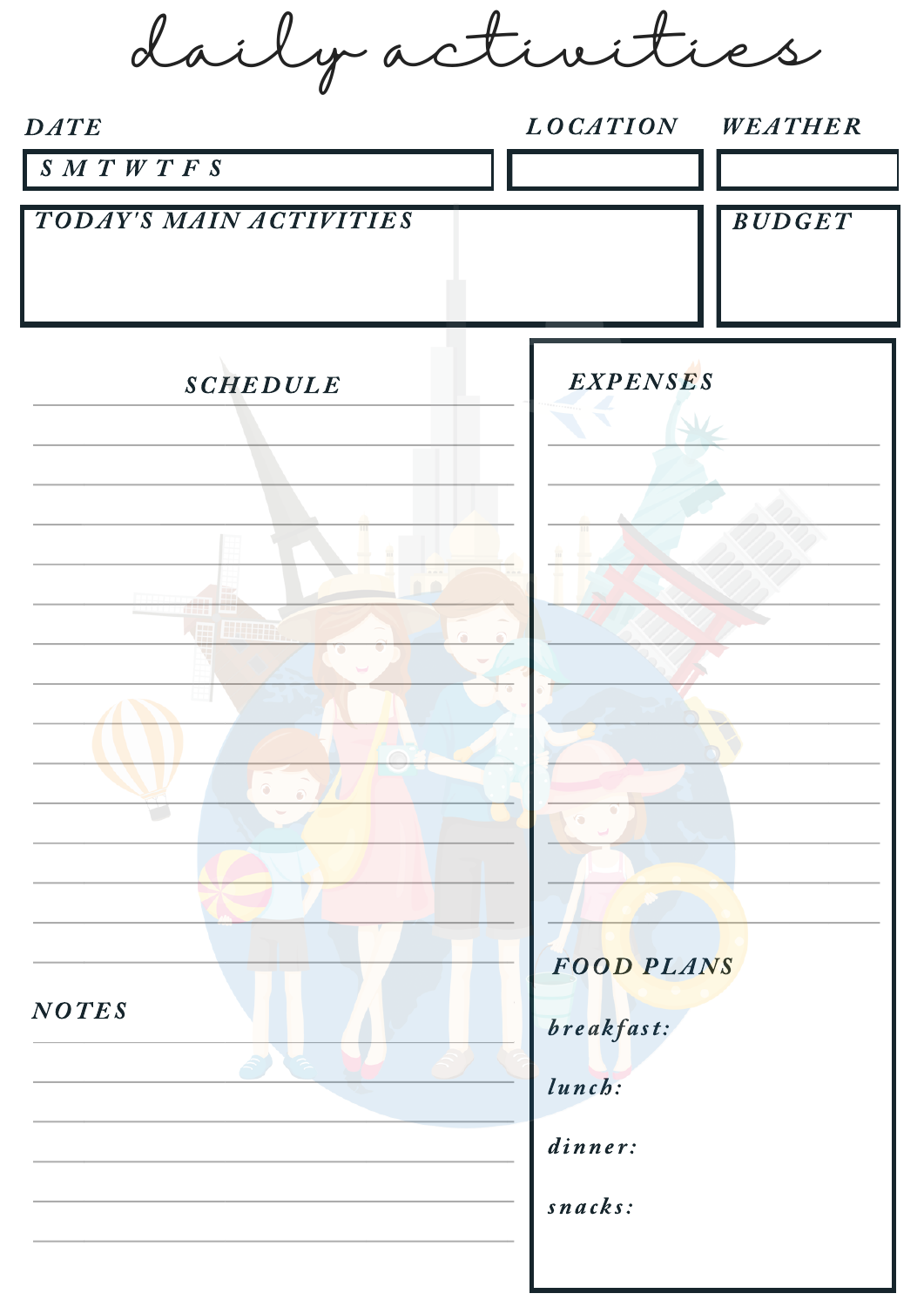